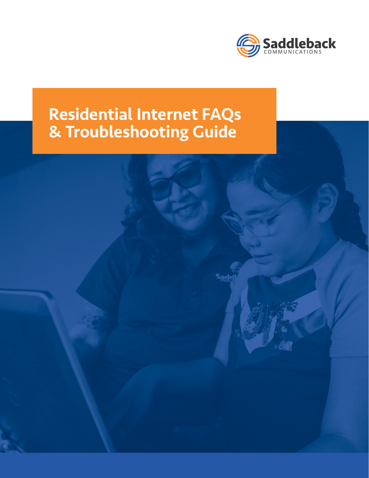

# Residential Internet FAQs & Troubleshooting Guide

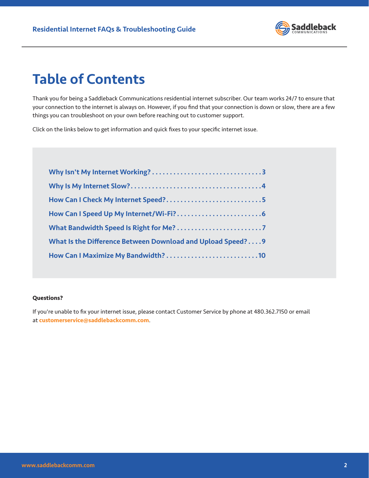

### Table of Contents

Thank you for being a Saddleback Communications residential internet subscriber. Our team works 24/7 to ensure that your connection to the internet is always on. However, if you find that your connection is down or slow, there are a few things you can troubleshoot on your own before reaching out to customer support.

Click on the links below to get information and quick fixes to your specific internet issue.

| How Can I Check My Internet Speed?5                        |  |
|------------------------------------------------------------|--|
|                                                            |  |
|                                                            |  |
| What Is the Difference Between Download and Upload Speed?9 |  |
|                                                            |  |
|                                                            |  |

#### **Questions?**

If you're unable to fix your internet issue, please contact Customer Service by phone at 480.362.7150 or email at **[customerservice@saddlebackcomm.com](mailto:customerservice%40saddlebackcomm.com?subject=)**.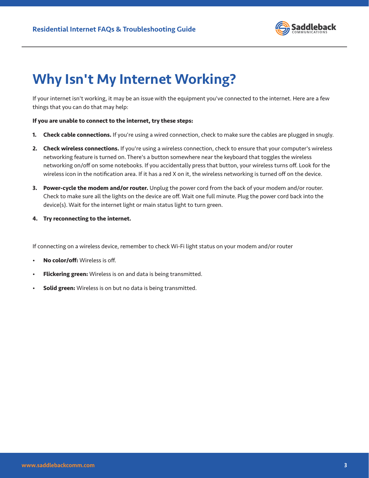

### <span id="page-2-0"></span>Why Isn't My Internet Working?

If your internet isn't working, it may be an issue with the equipment you've connected to the internet. Here are a few things that you can do that may help:

#### **If you are unable to connect to the internet, try these steps:**

- **1. Check cable connections.** If you're using a wired connection, check to make sure the cables are plugged in snugly.
- **2. Check wireless connections.** If you're using a wireless connection, check to ensure that your computer's wireless networking feature is turned on. There's a button somewhere near the keyboard that toggles the wireless networking on/off on some notebooks. If you accidentally press that button, your wireless turns off. Look for the wireless icon in the notification area. If it has a red X on it, the wireless networking is turned off on the device.
- **3. Power-cycle the modem and/or router.** Unplug the power cord from the back of your modem and/or router. Check to make sure all the lights on the device are off. Wait one full minute. Plug the power cord back into the device(s). Wait for the internet light or main status light to turn green.
- **4. Try reconnecting to the internet.**

If connecting on a wireless device, remember to check Wi-Fi light status on your modem and/or router

- **No color/off:** Wireless is off.
- **Flickering green:** Wireless is on and data is being transmitted.
- **Solid green:** Wireless is on but no data is being transmitted.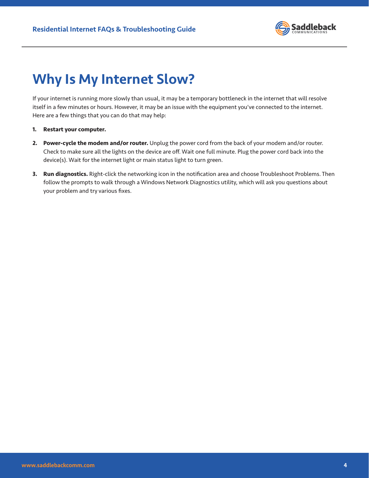

### <span id="page-3-0"></span>Why Is My Internet Slow?

If your internet is running more slowly than usual, it may be a temporary bottleneck in the internet that will resolve itself in a few minutes or hours. However, it may be an issue with the equipment you've connected to the internet. Here are a few things that you can do that may help:

- **1. Restart your computer.**
- **2. Power-cycle the modem and/or router.** Unplug the power cord from the back of your modem and/or router. Check to make sure all the lights on the device are off. Wait one full minute. Plug the power cord back into the device(s). Wait for the internet light or main status light to turn green.
- **3. Run diagnostics.** Right-click the networking icon in the notification area and choose Troubleshoot Problems. Then follow the prompts to walk through a Windows Network Diagnostics utility, which will ask you questions about your problem and try various fixes.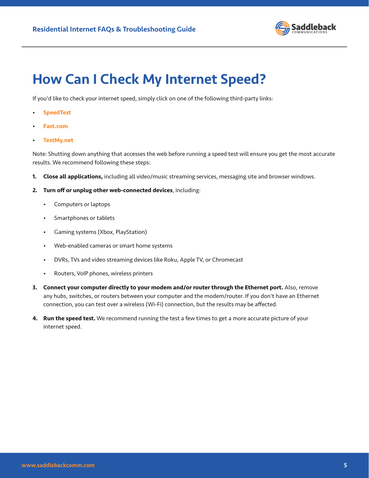

### <span id="page-4-0"></span>How Can I Check My Internet Speed?

If you'd like to check your internet speed, simply click on one of the following third-party links:

- **[SpeedTest](https://www.speedtest.net/)**
- **[Fast.com](https://fast.com/)**
- **[TestMy.net](https://testmy.net/)**

Note: Shutting down anything that accesses the web before running a speed test will ensure you get the most accurate results. We recommend following these steps:

- **1. Close all applications,** including all video/music streaming services, messaging site and browser windows.
- **2. Turn off or unplug other web-connected devices**, including:
	- Computers or laptops
	- Smartphones or tablets
	- Gaming systems (Xbox, PlayStation)
	- Web-enabled cameras or smart home systems
	- DVRs, TVs and video streaming devices like Roku, Apple TV, or Chromecast
	- Routers, VoIP phones, wireless printers
- **3. Connect your computer directly to your modem and/or router through the Ethernet port.** Also, remove any hubs, switches, or routers between your computer and the modem/router. If you don't have an Ethernet connection, you can test over a wireless (Wi-Fi) connection, but the results may be affected.
- **4. Run the speed test.** We recommend running the test a few times to get a more accurate picture of your internet speed.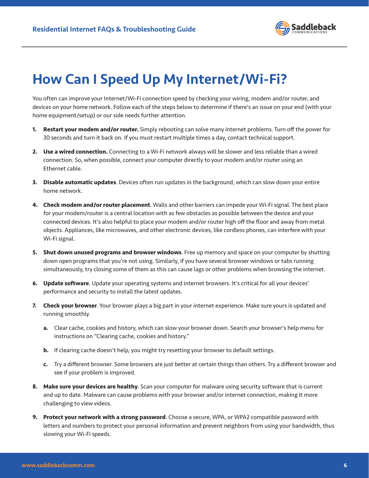

### <span id="page-5-0"></span>How Can I Speed Up My Internet/Wi-Fi?

You often can improve your Internet/Wi-Fi connection speed by checking your wiring, modem and/or router, and devices on your home network. Follow each of the steps below to determine if there's an issue on your end (with your home equipment/setup) or our side needs further attention.

- **1. Restart your modem and/or router.** Simply rebooting can solve many internet problems. Turn off the power for 30 seconds and turn it back on. If you must restart multiple times a day, contact technical support.
- **2. Use a wired connection.** Connecting to a Wi-Fi network always will be slower and less reliable than a wired connection. So, when possible, connect your computer directly to your modem and/or router using an Ethernet cable.
- **3. Disable automatic updates**. Devices often run updates in the background, which can slow down your entire home network.
- **4. Check modem and/or router placement**. Walls and other barriers can impede your Wi-Fi signal. The best place for your modem/router is a central location with as few obstacles as possible between the device and your connected devices. It's also helpful to place your modem and/or router high off the floor and away from metal objects. Appliances, like microwaves, and other electronic devices, like cordless phones, can interfere with your Wi-Fi signal.
- **5. Shut down unused programs and browser windows**. Free up memory and space on your computer by shutting down open programs that you're not using. Similarly, if you have several browser windows or tabs running simultaneously, try closing some of them as this can cause lags or other problems when browsing the internet.
- **6. Update software**. Update your operating systems and internet browsers. It's critical for all your devices' performance and security to install the latest updates.
- **7. Check your browser**. Your browser plays a big part in your internet experience. Make sure yours is updated and running smoothly.
	- **a.** Clear cache, cookies and history, which can slow your browser down. Search your browser's help menu for instructions on "Clearing cache, cookies and history."
	- **b.** If clearing cache doesn't help, you might try resetting your browser to default settings.
	- **c.** Try a different browser. Some browsers are just better at certain things than others. Try a different browser and see if your problem is improved.
- **8. Make sure your devices are healthy**. Scan your computer for malware using security software that is current and up to date. Malware can cause problems with your browser and/or internet connection, making it more challenging to view videos.
- **9. Protect your network with a strong password**. Choose a secure, WPA, or WPA2 compatible password with letters and numbers to protect your personal information and prevent neighbors from using your bandwidth, thus slowing your Wi-Fi speeds.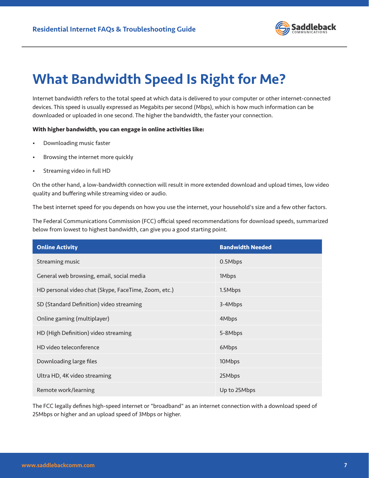

### <span id="page-6-0"></span>What Bandwidth Speed Is Right for Me?

Internet bandwidth refers to the total speed at which data is delivered to your computer or other internet-connected devices. This speed is usually expressed as Megabits per second (Mbps), which is how much information can be downloaded or uploaded in one second. The higher the bandwidth, the faster your connection.

#### **With higher bandwidth, you can engage in online activities like:**

- Downloading music faster
- Browsing the internet more quickly
- Streaming video in full HD

On the other hand, a low-bandwidth connection will result in more extended download and upload times, low video quality and buffering while streaming video or audio.

The best internet speed for you depends on how you use the internet, your household's size and a few other factors.

The Federal Communications Commission (FCC) official speed recommendations for download speeds, summarized below from lowest to highest bandwidth, can give you a good starting point.

| <b>Online Activity</b>                               | <b>Bandwidth Needed</b> |
|------------------------------------------------------|-------------------------|
| Streaming music                                      | 0.5Mbps                 |
| General web browsing, email, social media            | 1Mbps                   |
| HD personal video chat (Skype, FaceTime, Zoom, etc.) | 1.5Mbps                 |
| SD (Standard Definition) video streaming             | 3-4Mbps                 |
| Online gaming (multiplayer)                          | 4Mbps                   |
| HD (High Definition) video streaming                 | 5-8Mbps                 |
| HD video teleconference                              | 6Mbps                   |
| Downloading large files                              | 10Mbps                  |
| Ultra HD, 4K video streaming                         | 25Mbps                  |
| Remote work/learning                                 | Up to 25Mbps            |

The FCC legally defines high-speed internet or "broadband" as an internet connection with a download speed of 25Mbps or higher and an upload speed of 3Mbps or higher.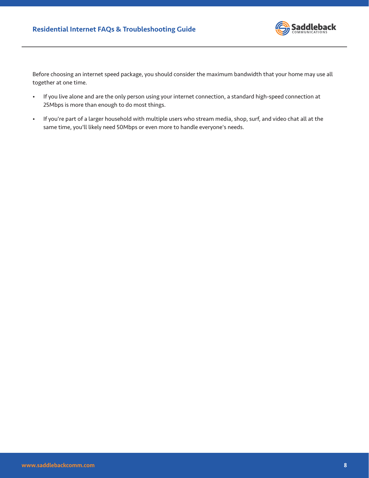

Before choosing an internet speed package, you should consider the maximum bandwidth that your home may use all together at one time.

- If you live alone and are the only person using your internet connection, a standard high-speed connection at 25Mbps is more than enough to do most things.
- If you're part of a larger household with multiple users who stream media, shop, surf, and video chat all at the same time, you'll likely need 50Mbps or even more to handle everyone's needs.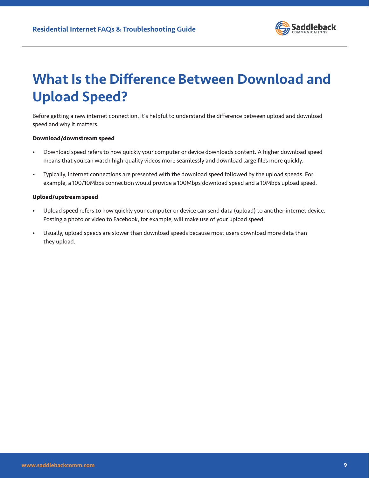

## <span id="page-8-0"></span>What Is the Difference Between Download and Upload Speed?

Before getting a new internet connection, it's helpful to understand the difference between upload and download speed and why it matters.

#### **Download/downstream speed**

- Download speed refers to how quickly your computer or device downloads content. A higher download speed means that you can watch high-quality videos more seamlessly and download large files more quickly.
- Typically, internet connections are presented with the download speed followed by the upload speeds. For example, a 100/10Mbps connection would provide a 100Mbps download speed and a 10Mbps upload speed.

#### **Upload/upstream speed**

- Upload speed refers to how quickly your computer or device can send data (upload) to another internet device. Posting a photo or video to Facebook, for example, will make use of your upload speed.
- Usually, upload speeds are slower than download speeds because most users download more data than they upload.